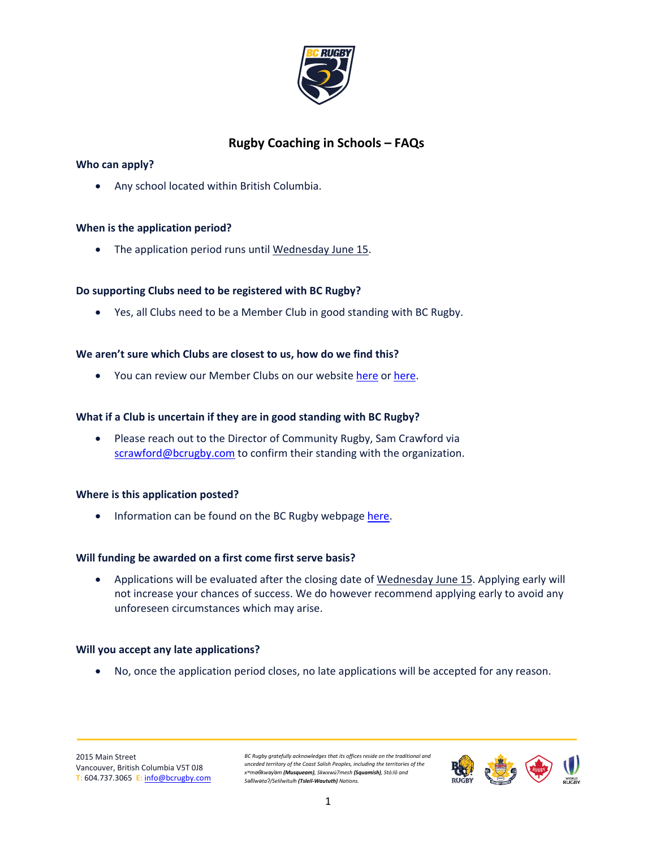

# **Rugby Coaching in Schools – FAQs**

# **Who can apply?**

• Any school located within British Columbia.

# **When is the application period?**

• The application period runs until Wednesday June 15.

# **Do supporting Clubs need to be registered with BC Rugby?**

• Yes, all Clubs need to be a Member Club in good standing with BC Rugby.

# **We aren't sure which Clubs are closest to us, how do we find this?**

• You can review our Member Clubs on our website here or here.

# **What if a Club is uncertain if they are in good standing with BC Rugby?**

• Please reach out to the Director of Community Rugby, Sam Crawford via scrawford@bcrugby.com to confirm their standing with the organization.

# **Where is this application posted?**

• Information can be found on the BC Rugby webpage here.

# **Will funding be awarded on a first come first serve basis?**

• Applications will be evaluated after the closing date of Wednesday June 15. Applying early will not increase your chances of success. We do however recommend applying early to avoid any unforeseen circumstances which may arise.

# **Will you accept any late applications?**

• No, once the application period closes, no late applications will be accepted for any reason.

*BC Rugby gratefully acknowledges that its offices reside on the traditional and unceded territory of the Coast Salish Peoples, including the territories of the xʷməθkwəy̓əm (Musqueam), Skwxwú7mesh (Squamish), Stó:lō and Səl̓ílwətaʔ/Selilwitulh (Tsleil-Waututh) Nations.*

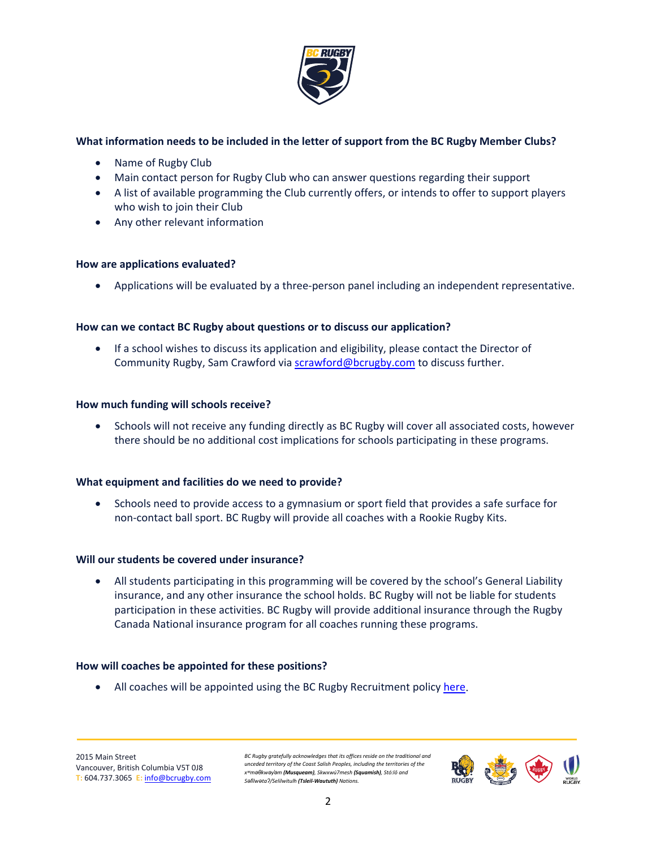

# **What information needs to be included in the letter of support from the BC Rugby Member Clubs?**

- Name of Rugby Club
- Main contact person for Rugby Club who can answer questions regarding their support
- A list of available programming the Club currently offers, or intends to offer to support players who wish to join their Club
- Any other relevant information

### **How are applications evaluated?**

• Applications will be evaluated by a three-person panel including an independent representative.

# **How can we contact BC Rugby about questions or to discuss our application?**

• If a school wishes to discuss its application and eligibility, please contact the Director of Community Rugby, Sam Crawford via [scrawford@bcrugby.com](mailto:scrawford@bcrugby.com) to discuss further.

### **How much funding will schools receive?**

• Schools will not receive any funding directly as BC Rugby will cover all associated costs, however there should be no additional cost implications for schools participating in these programs.

# **What equipment and facilities do we need to provide?**

• Schools need to provide access to a gymnasium or sport field that provides a safe surface for non-contact ball sport. BC Rugby will provide all coaches with a Rookie Rugby Kits.

#### **Will our students be covered under insurance?**

• All students participating in this programming will be covered by the school's General Liability insurance, and any other insurance the school holds. BC Rugby will not be liable for students participation in these activities. BC Rugby will provide additional insurance through the Rugby Canada National insurance program for all coaches running these programs.

#### **How will coaches be appointed for these positions?**

• All coaches will be appointed using the BC Rugby Recruitment policy [here.](https://bcrugby.com/wp-content/uploads/2021/05/BC-Rugby-Recruitment-Policy.pdf)

*BC Rugby gratefully acknowledges that its offices reside on the traditional and unceded territory of the Coast Salish Peoples, including the territories of the xʷməθkwəy̓əm (Musqueam), Skwxwú7mesh (Squamish), Stó:lō and Səl̓ílwətaʔ/Selilwitulh (Tsleil-Waututh) Nations.*